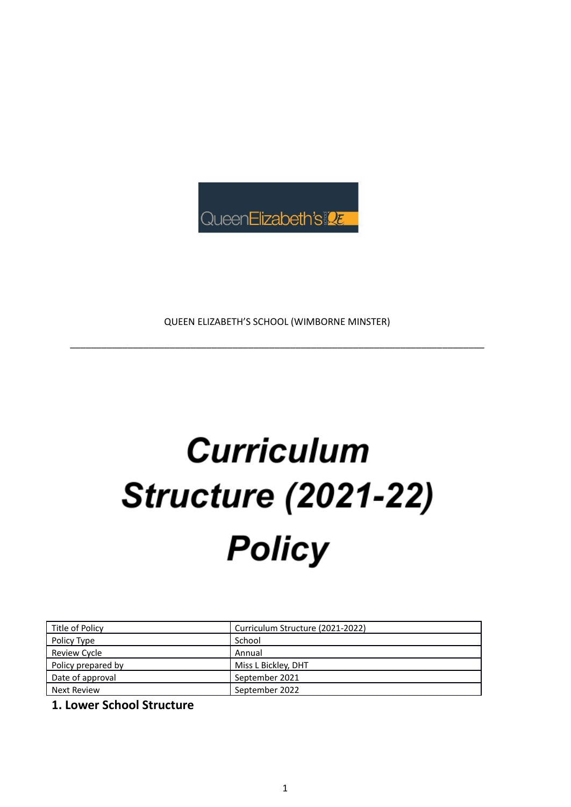

QUEEN ELIZABETH'S SCHOOL (WIMBORNE MINSTER)

\_\_\_\_\_\_\_\_\_\_\_\_\_\_\_\_\_\_\_\_\_\_\_\_\_\_\_\_\_\_\_\_\_\_\_\_\_\_\_\_\_\_\_\_\_\_\_\_\_\_\_\_\_\_\_\_\_\_\_\_\_\_\_\_\_\_\_\_\_\_\_\_\_\_\_\_\_\_\_

# **Curriculum Structure (2021-22) Policy**

| Title of Policy    | Curriculum Structure (2021-2022) |
|--------------------|----------------------------------|
| Policy Type        | School                           |
| Review Cycle       | Annual                           |
| Policy prepared by | Miss L Bickley, DHT              |
| Date of approval   | September 2021                   |
| Next Review        | September 2022                   |

**1. Lower School Structure**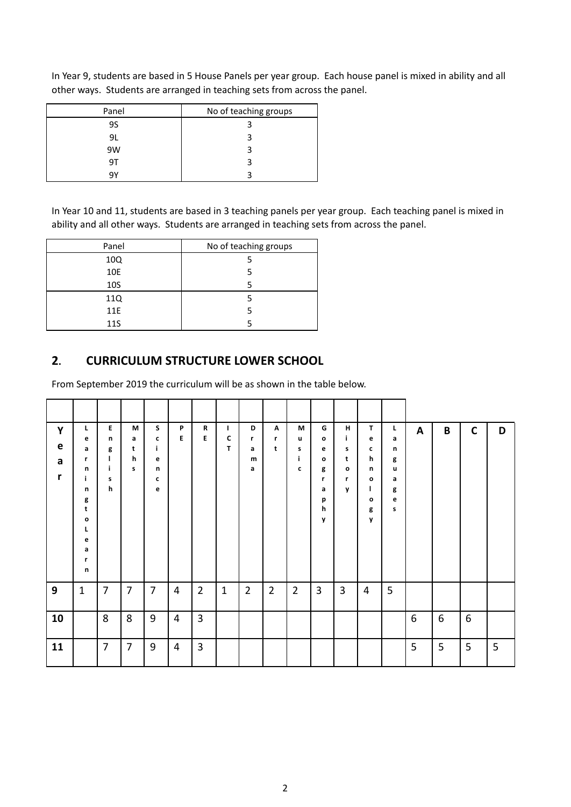| Panel | No of teaching groups |
|-------|-----------------------|
| 9S    |                       |
| 9L    |                       |
| 9W    |                       |
| 97    |                       |
| q٧    |                       |

In Year 9, students are based in 5 House Panels per year group. Each house panel is mixed in ability and all other ways. Students are arranged in teaching sets from across the panel.

In Year 10 and 11, students are based in 3 teaching panels per year group. Each teaching panel is mixed in ability and all other ways. Students are arranged in teaching sets from across the panel.

| Panel | No of teaching groups |  |  |
|-------|-----------------------|--|--|
| 10Q   |                       |  |  |
| 10E   |                       |  |  |
| 10S   |                       |  |  |
| 11Q   |                       |  |  |
| 11E   |                       |  |  |
| 11S   |                       |  |  |

#### **2. CURRICULUM STRUCTURE LOWER SCHOOL**

From September 2019 the curriculum will be as shown in the table below.

| Y<br>e<br>a<br>r | L<br>e<br>a<br>r<br>n<br>j.<br>n<br>g<br>t<br>$\mathbf{o}$<br>L<br>e<br>a<br>r<br>n | E.<br>n<br>g<br>H<br>j.<br>s<br>h | M<br>a<br>t<br>h<br>s | S.<br>c<br>j.<br>e<br>n<br>c<br>e | P<br>E         | R<br>E         | $\mathbf{I}$<br>C<br>T. | D<br>r<br>a<br>m<br>a | $\mathbf{A}$<br>r<br>t | М<br>u<br>s<br>j.<br>c | G<br>o<br>е<br>o<br>g<br>r<br>a<br>p<br>h<br>y | н<br>j.<br>s<br>t<br>$\mathbf{o}$<br>r<br>y | T.<br>e<br>c<br>h<br>n<br>$\mathbf{o}$<br>L<br>$\mathbf{o}$<br>g<br>y | L<br>a<br>n<br>g<br>u<br>a<br>g<br>e<br>s | A | B | $\mathsf{C}$ | D |
|------------------|-------------------------------------------------------------------------------------|-----------------------------------|-----------------------|-----------------------------------|----------------|----------------|-------------------------|-----------------------|------------------------|------------------------|------------------------------------------------|---------------------------------------------|-----------------------------------------------------------------------|-------------------------------------------|---|---|--------------|---|
| 9                | $\mathbf{1}$                                                                        | $\overline{7}$                    | $\overline{7}$        | $\overline{7}$                    | 4              | $\overline{2}$ | $\mathbf{1}$            | $\overline{2}$        | $\overline{2}$         | $\overline{2}$         | $\mathbf{3}$                                   | $\overline{3}$                              | 4                                                                     | 5                                         |   |   |              |   |
| 10               |                                                                                     | 8                                 | 8                     | 9                                 | $\overline{4}$ | $\overline{3}$ |                         |                       |                        |                        |                                                |                                             |                                                                       |                                           | 6 | 6 | 6            |   |
| 11               |                                                                                     | $\overline{7}$                    | $\overline{7}$        | 9                                 | 4              | $\overline{3}$ |                         |                       |                        |                        |                                                |                                             |                                                                       |                                           | 5 | 5 | 5            | 5 |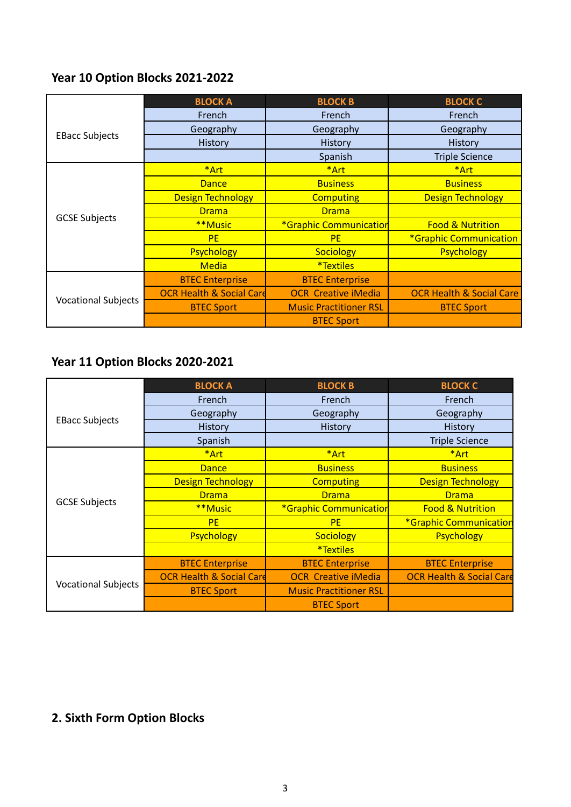## **Year 10 Option Blocks 2021-2022**

|                            | <b>BLOCK A</b>                      | <b>BLOCK B</b>                | <b>BLOCK C</b>                      |  |
|----------------------------|-------------------------------------|-------------------------------|-------------------------------------|--|
|                            | French                              | French                        | French                              |  |
|                            | Geography                           | Geography                     | Geography                           |  |
| <b>EBacc Subjects</b>      | <b>History</b>                      | <b>History</b>                | History                             |  |
|                            |                                     | Spanish                       | <b>Triple Science</b>               |  |
|                            | *Art                                | *Art                          | *Art                                |  |
|                            | <b>Dance</b>                        | <b>Business</b>               | <b>Business</b>                     |  |
|                            | <b>Design Technology</b>            | <b>Computing</b>              | <b>Design Technology</b>            |  |
|                            | <b>Drama</b>                        | <b>Drama</b>                  |                                     |  |
| <b>GCSE Subjects</b>       | **Music                             | *Graphic Communication        | <b>Food &amp; Nutrition</b>         |  |
|                            | <b>PE</b>                           | <b>PF</b>                     | *Graphic Communication              |  |
|                            | <b>Psychology</b>                   | <b>Sociology</b>              | <b>Psychology</b>                   |  |
|                            | <b>Media</b>                        | <i><b>*Textiles</b></i>       |                                     |  |
|                            | <b>BTEC Enterprise</b>              | <b>BTEC Enterprise</b>        |                                     |  |
|                            | <b>OCR Health &amp; Social Card</b> | <b>OCR Creative iMedia</b>    | <b>OCR Health &amp; Social Care</b> |  |
| <b>Vocational Subjects</b> | <b>BTEC Sport</b>                   | <b>Music Practitioner RSL</b> | <b>BTEC Sport</b>                   |  |
|                            |                                     | <b>BTEC Sport</b>             |                                     |  |

## **Year 11 Option Blocks 2020-2021**

|                            | <b>BLOCK A</b>                      | <b>BLOCK B</b>                | <b>BLOCK C</b>                      |  |
|----------------------------|-------------------------------------|-------------------------------|-------------------------------------|--|
|                            | French                              | French                        | French                              |  |
|                            | Geography                           | Geography                     | Geography                           |  |
| <b>EBacc Subjects</b>      | History                             | <b>History</b>                | History                             |  |
|                            | Spanish                             |                               | <b>Triple Science</b>               |  |
|                            | *Art                                | *Art                          | *Art                                |  |
|                            | <b>Dance</b>                        | <b>Business</b>               | <b>Business</b>                     |  |
|                            | <b>Design Technology</b>            | <b>Computing</b>              | <b>Design Technology</b>            |  |
|                            | <b>Drama</b>                        | <b>Drama</b>                  | <b>Drama</b>                        |  |
| <b>GCSE Subjects</b>       | **Music                             | *Graphic Communication        | <b>Food &amp; Nutrition</b>         |  |
|                            | <b>PE</b>                           | <b>PE</b>                     | *Graphic Communication              |  |
|                            | Psychology                          | <b>Sociology</b>              | <b>Psychology</b>                   |  |
|                            |                                     | <i>*</i> Textiles             |                                     |  |
|                            | <b>BTEC Enterprise</b>              | <b>BTEC Enterprise</b>        | <b>BTEC Enterprise</b>              |  |
|                            | <b>OCR Health &amp; Social Card</b> | <b>OCR Creative iMedia</b>    | <b>OCR Health &amp; Social Care</b> |  |
| <b>Vocational Subjects</b> | <b>BTEC Sport</b>                   | <b>Music Practitioner RSL</b> |                                     |  |
|                            |                                     | <b>BTEC Sport</b>             |                                     |  |

## **2. Sixth Form Option Blocks**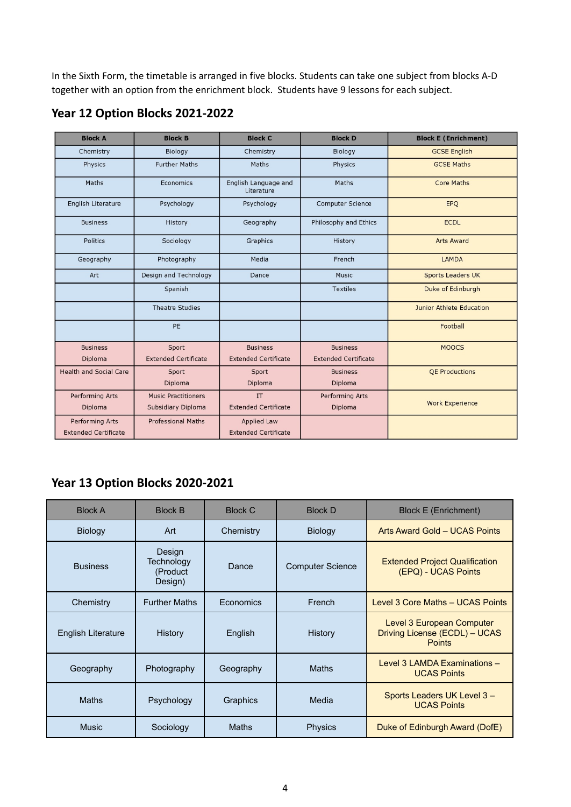In the Sixth Form, the timetable is arranged in five blocks. Students can take one subject from blocks A-D together with an option from the enrichment block. Students have 9 lessons for each subject.

| <b>Block A</b>                | <b>Block B</b>              | <b>Block C</b>                     | <b>Block D</b>              | <b>Block E (Enrichment)</b> |
|-------------------------------|-----------------------------|------------------------------------|-----------------------------|-----------------------------|
| Chemistry                     | Biology                     | Chemistry                          | Biology                     | <b>GCSE English</b>         |
| Physics                       | <b>Further Maths</b>        |                                    | Physics                     | <b>GCSE Maths</b>           |
| Maths                         | Economics                   | English Language and<br>Literature | Maths                       | <b>Core Maths</b>           |
| English Literature            | Psychology                  | Psychology                         | <b>Computer Science</b>     | EPQ                         |
| <b>Business</b>               | History                     | Geography                          | Philosophy and Ethics       | <b>ECDL</b>                 |
| Politics                      | Sociology                   | Graphics                           | History                     | <b>Arts Award</b>           |
| Geography                     | Photography                 | Media                              | French                      | LAMDA                       |
| Art                           | Design and Technology       | Dance                              | Music                       | <b>Sports Leaders UK</b>    |
|                               | Spanish                     |                                    | <b>Textiles</b>             | Duke of Edinburgh           |
|                               | <b>Theatre Studies</b>      |                                    |                             | Junior Athlete Education    |
|                               | PE                          |                                    |                             | Football                    |
| <b>Business</b>               | Sport                       | <b>Business</b>                    | <b>Business</b>             | <b>MOOCS</b>                |
| Diploma                       | <b>Extended Certificate</b> | <b>Extended Certificate</b>        | <b>Extended Certificate</b> |                             |
| <b>Health and Social Care</b> | Sport                       | Sport                              | <b>Business</b>             | <b>QE Productions</b>       |
|                               | Diploma                     | Diploma                            | Diploma                     |                             |
| <b>Performing Arts</b>        | <b>Music Practitioners</b>  | <b>IT</b>                          | <b>Performing Arts</b>      |                             |
| Diploma                       | Subsidiary Diploma          | <b>Extended Certificate</b>        | Diploma                     | <b>Work Experience</b>      |
| <b>Performing Arts</b>        | <b>Professional Maths</b>   | <b>Applied Law</b>                 |                             |                             |
| <b>Extended Certificate</b>   |                             | <b>Extended Certificate</b>        |                             |                             |

#### **Year 12 Option Blocks 2021-2022**

## **Year 13 Option Blocks 2020-2021**

| <b>Block A</b>            | <b>Block B</b>                              | <b>Block C</b> | <b>Block D</b>          | <b>Block E (Enrichment)</b>                                                 |
|---------------------------|---------------------------------------------|----------------|-------------------------|-----------------------------------------------------------------------------|
| Biology                   | Chemistry<br>Art                            |                | <b>Biology</b>          | Arts Award Gold - UCAS Points                                               |
| <b>Business</b>           | Design<br>Technology<br>(Product<br>Design) | Dance          | <b>Computer Science</b> | <b>Extended Project Qualification</b><br>(EPQ) - UCAS Points                |
| Chemistry                 | <b>Further Maths</b>                        |                | French                  | Level 3 Core Maths - UCAS Points                                            |
| <b>English Literature</b> | History                                     | English        | History                 | Level 3 European Computer<br>Driving License (ECDL) - UCAS<br><b>Points</b> |
| Geography                 | <b>Maths</b><br>Photography<br>Geography    |                |                         | Level 3 LAMDA Examinations -<br><b>UCAS Points</b>                          |
| <b>Maths</b>              | Psychology                                  | Graphics       | Media                   | Sports Leaders UK Level 3-<br><b>UCAS Points</b>                            |
| <b>Music</b>              | Sociology                                   | Maths          | <b>Physics</b>          | Duke of Edinburgh Award (DofE)                                              |